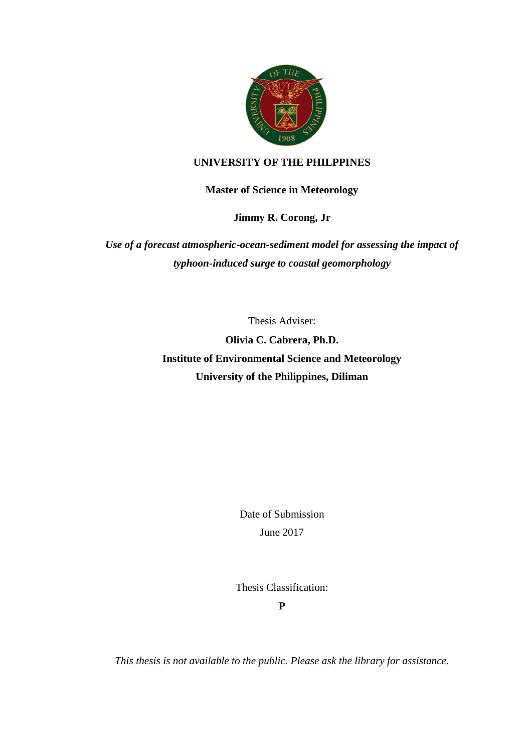

## **UNIVERSITY OF THE PHILPPINES**

**Master of Science in Meteorology**

**Jimmy R. Corong, Jr**

*Use of a forecast atmospheric-ocean-sediment model for assessing the impact of typhoon-induced surge to coastal geomorphology*

Thesis Adviser:

**Olivia C. Cabrera, Ph.D. Institute of Environmental Science and Meteorology University of the Philippines, Diliman**

> Date of Submission June 2017

Thesis Classification:

**P**

*This thesis is not available to the public. Please ask the library for assistance.*